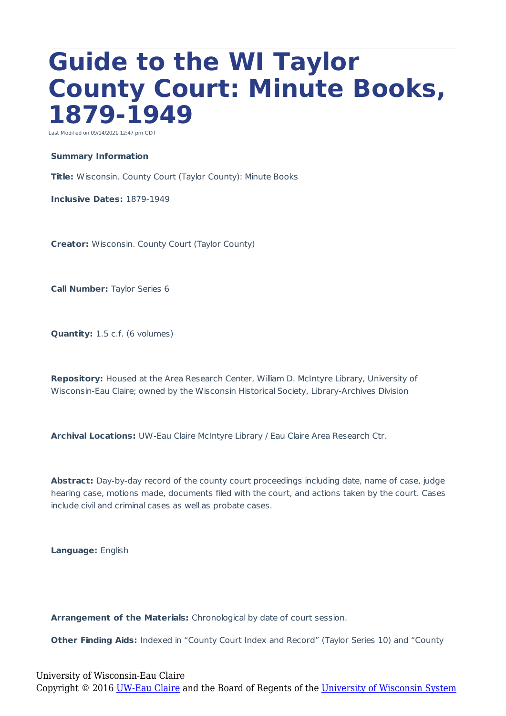## **Guide to the WI Taylor County Court: Minute Books, 1879-1949**

Last Modified on 09/14/2021 12:47 pm CDT

## **Summary Information**

**Title:** Wisconsin. County Court (Taylor County): Minute Books

**Inclusive Dates:** 1879-1949

**Creator:** Wisconsin. County Court (Taylor County)

**Call Number:** Taylor Series 6

**Quantity:** 1.5 c.f. (6 volumes)

**Repository:** Housed at the Area Research Center, William D. McIntyre Library, University of Wisconsin-Eau Claire; owned by the Wisconsin Historical Society, Library-Archives Division

**Archival Locations:** UW-Eau Claire McIntyre Library / Eau Claire Area Research Ctr.

**Abstract:** Day-by-day record of the county court proceedings including date, name of case, judge hearing case, motions made, documents filed with the court, and actions taken by the court. Cases include civil and criminal cases as well as probate cases.

**Language:** English

**Arrangement of the Materials:** Chronological by date of court session.

**Other Finding Aids:** Indexed in "County Court Index and Record" (Taylor Series 10) and "County

University of Wisconsin-Eau Claire Copyright © 2016 [UW-Eau Claire](http://www.uwec.edu) and the Board of Regents of the [University of Wisconsin System](http://www.uwsa.edu/)